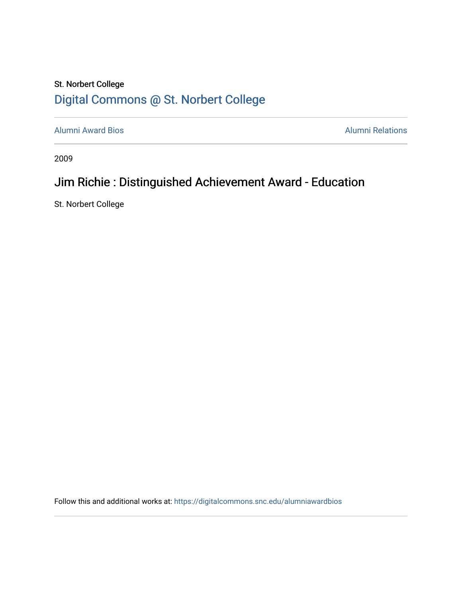## St. Norbert College [Digital Commons @ St. Norbert College](https://digitalcommons.snc.edu/)

[Alumni Award Bios](https://digitalcommons.snc.edu/alumniawardbios) **Alumni Relations** Alumni Relations

2009

## Jim Richie : Distinguished Achievement Award - Education

St. Norbert College

Follow this and additional works at: [https://digitalcommons.snc.edu/alumniawardbios](https://digitalcommons.snc.edu/alumniawardbios?utm_source=digitalcommons.snc.edu%2Falumniawardbios%2F28&utm_medium=PDF&utm_campaign=PDFCoverPages)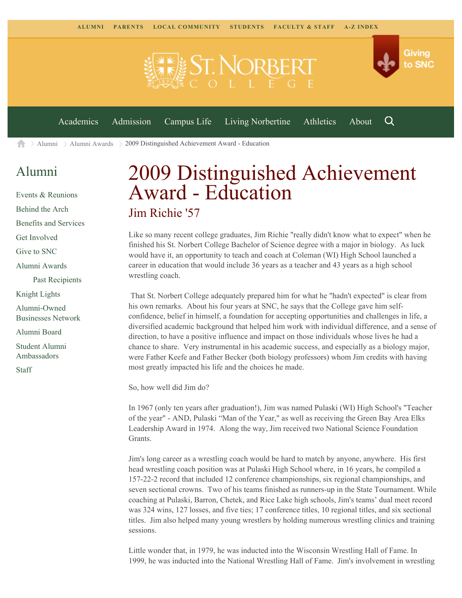

[Alumni](https://www.snc.edu/alumni/) [Alumni Awards](https://www.snc.edu/alumni/awards/) 2009 Distinguished Achievement Award - Education A

## [Alumni](https://www.snc.edu/alumni/index.html)

[Events & Reunions](https://www.snc.edu/alumni/event/index.html) [Behind the Arch](https://www.snc.edu/alumni/event/behindthearch/) [Benefits and Services](https://www.snc.edu/alumni/benefits.html) [Get Involved](https://www.snc.edu/alumni/getinvolved.html) [Give to SNC](http://giving.snc.edu/) [Alumni Awards](https://www.snc.edu/alumni/awards/index.html) [Past Recipients](https://www.snc.edu/alumni/awards/recipients.html) [Knight Lights](https://www.snc.edu/alumni/knightlights/index.html) [Alumni-Owned](https://www.snc.edu/alumni/directory/index.html) [Businesses Network](https://www.snc.edu/alumni/directory/index.html) [Alumni Board](https://www.snc.edu/alumni/alumniboard.html) [Student Alumni](https://www.snc.edu/alumni/saa.html) [Ambassadors](https://www.snc.edu/alumni/saa.html) [Staff](https://www.snc.edu/alumni/contactus.html)

## 2009 Distinguished Achievement Award - Education Jim Richie '57

Like so many recent college graduates, Jim Richie "really didn't know what to expect" when he finished his St. Norbert College Bachelor of Science degree with a major in biology. As luck would have it, an opportunity to teach and coach at Coleman (WI) High School launched a career in education that would include 36 years as a teacher and 43 years as a high school wrestling coach.

That St. Norbert College adequately prepared him for what he "hadn't expected" is clear from his own remarks. About his four years at SNC, he says that the College gave him selfconfidence, belief in himself, a foundation for accepting opportunities and challenges in life, a diversified academic background that helped him work with individual difference, and a sense of direction, to have a positive influence and impact on those individuals whose lives he had a chance to share. Very instrumental in his academic success, and especially as a biology major, were Father Keefe and Father Becker (both biology professors) whom Jim credits with having most greatly impacted his life and the choices he made.

So, how well did Jim do?

In 1967 (only ten years after graduation!), Jim was named Pulaski (WI) High School's "Teacher of the year" - AND, Pulaski "Man of the Year," as well as receiving the Green Bay Area Elks Leadership Award in 1974. Along the way, Jim received two National Science Foundation Grants.

Jim's long career as a wrestling coach would be hard to match by anyone, anywhere. His first head wrestling coach position was at Pulaski High School where, in 16 years, he compiled a 157-22-2 record that included 12 conference championships, six regional championships, and seven sectional crowns. Two of his teams finished as runners-up in the State Tournament. While coaching at Pulaski, Barron, Chetek, and Rice Lake high schools, Jim's teams' dual meet record was 324 wins, 127 losses, and five ties; 17 conference titles, 10 regional titles, and six sectional titles. Jim also helped many young wrestlers by holding numerous wrestling clinics and training sessions.

Little wonder that, in 1979, he was inducted into the Wisconsin Wrestling Hall of Fame. In 1999, he was inducted into the National Wrestling Hall of Fame. Jim's involvement in wrestling